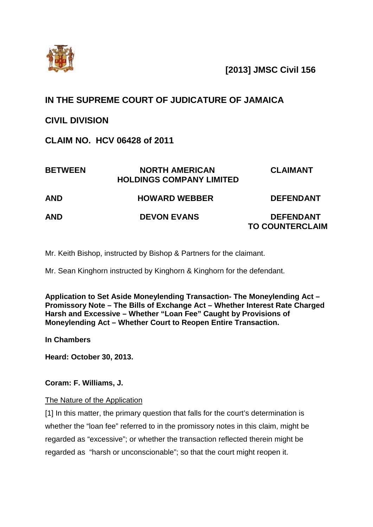

**[2013] JMSC Civil 156**

# **IN THE SUPREME COURT OF JUDICATURE OF JAMAICA**

## **CIVIL DIVISION**

**CLAIM NO. HCV 06428 of 2011**

| <b>BETWEEN</b> | <b>NORTH AMERICAN</b><br><b>HOLDINGS COMPANY LIMITED</b> | <b>CLAIMANT</b>                            |
|----------------|----------------------------------------------------------|--------------------------------------------|
| <b>AND</b>     | <b>HOWARD WEBBER</b>                                     | <b>DEFENDANT</b>                           |
| <b>AND</b>     | <b>DEVON EVANS</b>                                       | <b>DEFENDANT</b><br><b>TO COUNTERCLAIM</b> |

Mr. Keith Bishop, instructed by Bishop & Partners for the claimant.

Mr. Sean Kinghorn instructed by Kinghorn & Kinghorn for the defendant.

**Application to Set Aside Moneylending Transaction- The Moneylending Act – Promissory Note – The Bills of Exchange Act – Whether Interest Rate Charged Harsh and Excessive – Whether "Loan Fee" Caught by Provisions of Moneylending Act – Whether Court to Reopen Entire Transaction.**

**In Chambers**

**Heard: October 30, 2013.**

**Coram: F. Williams, J.**

## The Nature of the Application

[1] In this matter, the primary question that falls for the court's determination is whether the "loan fee" referred to in the promissory notes in this claim, might be regarded as "excessive"; or whether the transaction reflected therein might be regarded as "harsh or unconscionable"; so that the court might reopen it.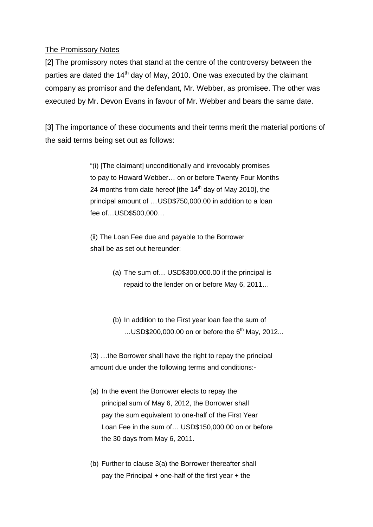## The Promissory Notes

[2] The promissory notes that stand at the centre of the controversy between the parties are dated the  $14<sup>th</sup>$  day of May, 2010. One was executed by the claimant company as promisor and the defendant, Mr. Webber, as promisee. The other was executed by Mr. Devon Evans in favour of Mr. Webber and bears the same date.

[3] The importance of these documents and their terms merit the material portions of the said terms being set out as follows:

> "(i) [The claimant] unconditionally and irrevocably promises to pay to Howard Webber… on or before Twenty Four Months 24 months from date hereof [the  $14<sup>th</sup>$  day of May 2010], the principal amount of …USD\$750,000.00 in addition to a loan fee of…USD\$500,000…

(ii) The Loan Fee due and payable to the Borrower shall be as set out hereunder:

- (a) The sum of… USD\$300,000.00 if the principal is repaid to the lender on or before May 6, 2011…
- (b) In addition to the First year loan fee the sum of  $...$ USD\$200,000.00 on or before the 6<sup>th</sup> May, 2012...

(3) …the Borrower shall have the right to repay the principal amount due under the following terms and conditions:-

- (a) In the event the Borrower elects to repay the principal sum of May 6, 2012, the Borrower shall pay the sum equivalent to one-half of the First Year Loan Fee in the sum of… USD\$150,000.00 on or before the 30 days from May 6, 2011.
- (b) Further to clause 3(a) the Borrower thereafter shall pay the Principal + one-half of the first year + the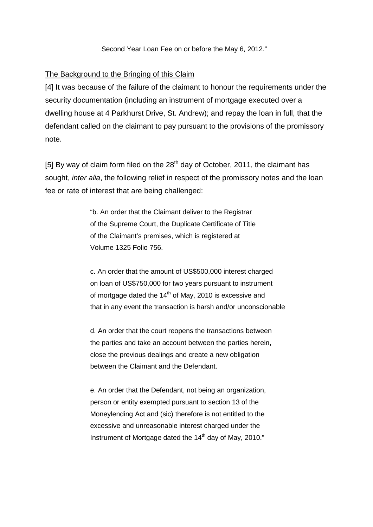#### Second Year Loan Fee on or before the May 6, 2012."

#### The Background to the Bringing of this Claim

[4] It was because of the failure of the claimant to honour the requirements under the security documentation (including an instrument of mortgage executed over a dwelling house at 4 Parkhurst Drive, St. Andrew); and repay the loan in full, that the defendant called on the claimant to pay pursuant to the provisions of the promissory note.

[5] By way of claim form filed on the  $28<sup>th</sup>$  day of October, 2011, the claimant has sought, *inter alia*, the following relief in respect of the promissory notes and the loan fee or rate of interest that are being challenged:

> "b. An order that the Claimant deliver to the Registrar of the Supreme Court, the Duplicate Certificate of Title of the Claimant's premises, which is registered at Volume 1325 Folio 756.

c. An order that the amount of US\$500,000 interest charged on loan of US\$750,000 for two years pursuant to instrument of mortgage dated the  $14<sup>th</sup>$  of May, 2010 is excessive and that in any event the transaction is harsh and/or unconscionable

d. An order that the court reopens the transactions between the parties and take an account between the parties herein, close the previous dealings and create a new obligation between the Claimant and the Defendant.

e. An order that the Defendant, not being an organization, person or entity exempted pursuant to section 13 of the Moneylending Act and (sic) therefore is not entitled to the excessive and unreasonable interest charged under the Instrument of Mortgage dated the 14<sup>th</sup> day of May, 2010."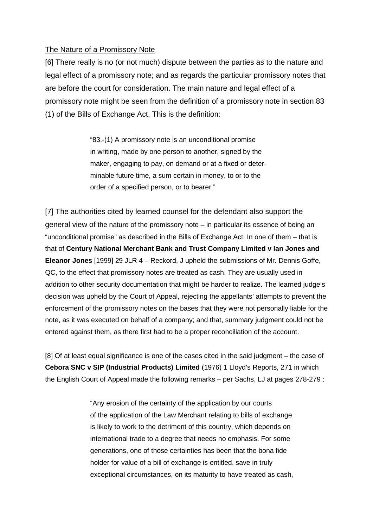#### The Nature of a Promissory Note

[6] There really is no (or not much) dispute between the parties as to the nature and legal effect of a promissory note; and as regards the particular promissory notes that are before the court for consideration. The main nature and legal effect of a promissory note might be seen from the definition of a promissory note in section 83 (1) of the Bills of Exchange Act. This is the definition:

> "83.-(1) A promissory note is an unconditional promise in writing, made by one person to another, signed by the maker, engaging to pay, on demand or at a fixed or determinable future time, a sum certain in money, to or to the order of a specified person, or to bearer."

[7] The authorities cited by learned counsel for the defendant also support the general view of the nature of the promissory note – in particular its essence of being an "unconditional promise" as described in the Bills of Exchange Act. In one of them – that is that of **Century National Merchant Bank and Trust Company Limited v Ian Jones and Eleanor Jones** [1999] 29 JLR 4 – Reckord, J upheld the submissions of Mr. Dennis Goffe, QC, to the effect that promissory notes are treated as cash. They are usually used in addition to other security documentation that might be harder to realize. The learned judge's decision was upheld by the Court of Appeal, rejecting the appellants' attempts to prevent the enforcement of the promissory notes on the bases that they were not personally liable for the note, as it was executed on behalf of a company; and that, summary judgment could not be entered against them, as there first had to be a proper reconciliation of the account.

[8] Of at least equal significance is one of the cases cited in the said judgment – the case of **Cebora SNC v SIP (Industrial Products) Limited** (1976) 1 Lloyd's Reports, 271 in which the English Court of Appeal made the following remarks – per Sachs, LJ at pages 278-279 :

> "Any erosion of the certainty of the application by our courts of the application of the Law Merchant relating to bills of exchange is likely to work to the detriment of this country, which depends on international trade to a degree that needs no emphasis. For some generations, one of those certainties has been that the bona fide holder for value of a bill of exchange is entitled, save in truly exceptional circumstances, on its maturity to have treated as cash,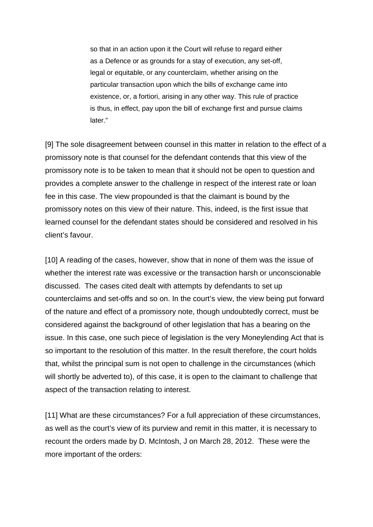so that in an action upon it the Court will refuse to regard either as a Defence or as grounds for a stay of execution, any set-off, legal or equitable, or any counterclaim, whether arising on the particular transaction upon which the bills of exchange came into existence, or, a fortiori, arising in any other way. This rule of practice is thus, in effect, pay upon the bill of exchange first and pursue claims later."

[9] The sole disagreement between counsel in this matter in relation to the effect of a promissory note is that counsel for the defendant contends that this view of the promissory note is to be taken to mean that it should not be open to question and provides a complete answer to the challenge in respect of the interest rate or loan fee in this case. The view propounded is that the claimant is bound by the promissory notes on this view of their nature. This, indeed, is the first issue that learned counsel for the defendant states should be considered and resolved in his client's favour.

[10] A reading of the cases, however, show that in none of them was the issue of whether the interest rate was excessive or the transaction harsh or unconscionable discussed. The cases cited dealt with attempts by defendants to set up counterclaims and set-offs and so on. In the court's view, the view being put forward of the nature and effect of a promissory note, though undoubtedly correct, must be considered against the background of other legislation that has a bearing on the issue. In this case, one such piece of legislation is the very Moneylending Act that is so important to the resolution of this matter. In the result therefore, the court holds that, whilst the principal sum is not open to challenge in the circumstances (which will shortly be adverted to), of this case, it is open to the claimant to challenge that aspect of the transaction relating to interest.

[11] What are these circumstances? For a full appreciation of these circumstances, as well as the court's view of its purview and remit in this matter, it is necessary to recount the orders made by D. McIntosh, J on March 28, 2012. These were the more important of the orders: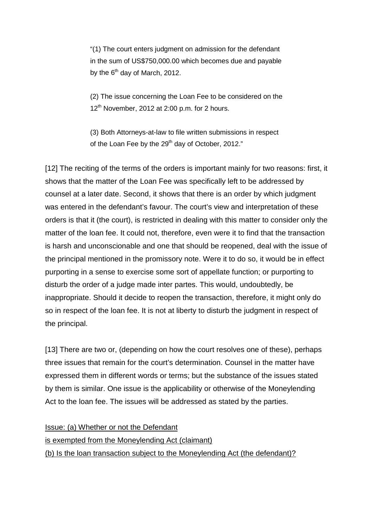"(1) The court enters judgment on admission for the defendant in the sum of US\$750,000.00 which becomes due and payable by the  $6<sup>th</sup>$  day of March, 2012.

(2) The issue concerning the Loan Fee to be considered on the  $12<sup>th</sup>$  November, 2012 at 2:00 p.m. for 2 hours.

(3) Both Attorneys-at-law to file written submissions in respect of the Loan Fee by the 29<sup>th</sup> day of October, 2012."

[12] The reciting of the terms of the orders is important mainly for two reasons: first, it shows that the matter of the Loan Fee was specifically left to be addressed by counsel at a later date. Second, it shows that there is an order by which judgment was entered in the defendant's favour. The court's view and interpretation of these orders is that it (the court), is restricted in dealing with this matter to consider only the matter of the loan fee. It could not, therefore, even were it to find that the transaction is harsh and unconscionable and one that should be reopened, deal with the issue of the principal mentioned in the promissory note. Were it to do so, it would be in effect purporting in a sense to exercise some sort of appellate function; or purporting to disturb the order of a judge made inter partes. This would, undoubtedly, be inappropriate. Should it decide to reopen the transaction, therefore, it might only do so in respect of the loan fee. It is not at liberty to disturb the judgment in respect of the principal.

[13] There are two or, (depending on how the court resolves one of these), perhaps three issues that remain for the court's determination. Counsel in the matter have expressed them in different words or terms; but the substance of the issues stated by them is similar. One issue is the applicability or otherwise of the Moneylending Act to the loan fee. The issues will be addressed as stated by the parties.

#### Issue: (a) Whether or not the Defendant

#### is exempted from the Moneylending Act (claimant)

(b) Is the loan transaction subject to the Moneylending Act (the defendant)?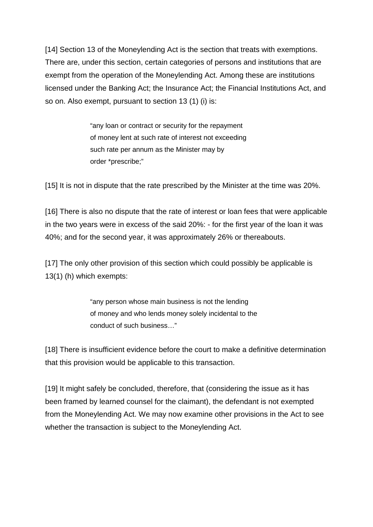[14] Section 13 of the Moneylending Act is the section that treats with exemptions. There are, under this section, certain categories of persons and institutions that are exempt from the operation of the Moneylending Act. Among these are institutions licensed under the Banking Act; the Insurance Act; the Financial Institutions Act, and so on. Also exempt, pursuant to section 13 (1) (i) is:

> "any loan or contract or security for the repayment of money lent at such rate of interest not exceeding such rate per annum as the Minister may by order \*prescribe;"

[15] It is not in dispute that the rate prescribed by the Minister at the time was 20%.

[16] There is also no dispute that the rate of interest or loan fees that were applicable in the two years were in excess of the said 20%: - for the first year of the loan it was 40%; and for the second year, it was approximately 26% or thereabouts.

[17] The only other provision of this section which could possibly be applicable is 13(1) (h) which exempts:

> "any person whose main business is not the lending of money and who lends money solely incidental to the conduct of such business…"

[18] There is insufficient evidence before the court to make a definitive determination that this provision would be applicable to this transaction.

[19] It might safely be concluded, therefore, that (considering the issue as it has been framed by learned counsel for the claimant), the defendant is not exempted from the Moneylending Act. We may now examine other provisions in the Act to see whether the transaction is subject to the Moneylending Act.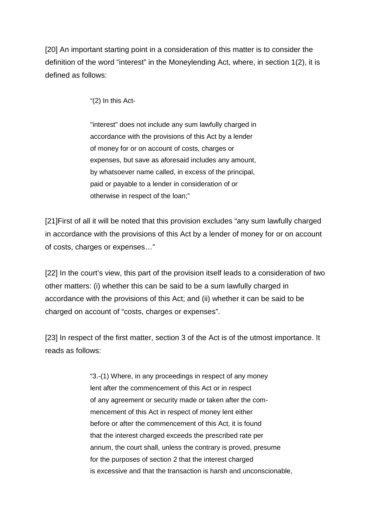[20] An important starting point in a consideration of this matter is to consider the definition of the word "interest" in the Moneylending Act, where, in section 1(2), it is defined as follows:

"(2) In this Act-

"interest" does not include any sum lawfully charged in accordance with the provisions of this Act by a lender of money for or on account of costs, charges or expenses, but save as aforesaid includes any amount, by whatsoever name called, in excess of the principal, paid or payable to a lender in consideration of or otherwise in respect of the loan;"

[21]First of all it will be noted that this provision excludes "any sum lawfully charged in accordance with the provisions of this Act by a lender of money for or on account of costs, charges or expenses…"

[22] In the court's view, this part of the provision itself leads to a consideration of two other matters: (i) whether this can be said to be a sum lawfully charged in accordance with the provisions of this Act; and (ii) whether it can be said to be charged on account of "costs, charges or expenses".

[23] In respect of the first matter, section 3 of the Act is of the utmost importance. It reads as follows:

> "3.-(1) Where, in any proceedings in respect of any money lent after the commencement of this Act or in respect of any agreement or security made or taken after the commencement of this Act in respect of money lent either before or after the commencement of this Act, it is found that the interest charged exceeds the prescribed rate per annum, the court shall, unless the contrary is proved, presume for the purposes of section 2 that the interest charged is excessive and that the transaction is harsh and unconscionable,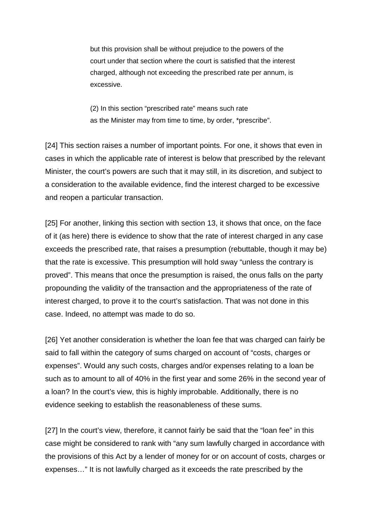but this provision shall be without prejudice to the powers of the court under that section where the court is satisfied that the interest charged, although not exceeding the prescribed rate per annum, is excessive.

(2) In this section "prescribed rate" means such rate as the Minister may from time to time, by order, \*prescribe".

[24] This section raises a number of important points. For one, it shows that even in cases in which the applicable rate of interest is below that prescribed by the relevant Minister, the court's powers are such that it may still, in its discretion, and subject to a consideration to the available evidence, find the interest charged to be excessive and reopen a particular transaction.

[25] For another, linking this section with section 13, it shows that once, on the face of it (as here) there is evidence to show that the rate of interest charged in any case exceeds the prescribed rate, that raises a presumption (rebuttable, though it may be) that the rate is excessive. This presumption will hold sway "unless the contrary is proved". This means that once the presumption is raised, the onus falls on the party propounding the validity of the transaction and the appropriateness of the rate of interest charged, to prove it to the court's satisfaction. That was not done in this case. Indeed, no attempt was made to do so.

[26] Yet another consideration is whether the loan fee that was charged can fairly be said to fall within the category of sums charged on account of "costs, charges or expenses". Would any such costs, charges and/or expenses relating to a loan be such as to amount to all of 40% in the first year and some 26% in the second year of a loan? In the court's view, this is highly improbable. Additionally, there is no evidence seeking to establish the reasonableness of these sums.

[27] In the court's view, therefore, it cannot fairly be said that the "loan fee" in this case might be considered to rank with "any sum lawfully charged in accordance with the provisions of this Act by a lender of money for or on account of costs, charges or expenses…" It is not lawfully charged as it exceeds the rate prescribed by the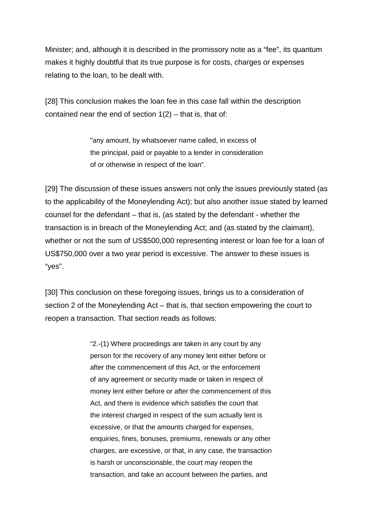Minister; and, although it is described in the promissory note as a "fee", its quantum makes it highly doubtful that its true purpose is for costs, charges or expenses relating to the loan, to be dealt with.

[28] This conclusion makes the loan fee in this case fall within the description contained near the end of section  $1(2)$  – that is, that of:

> "any amount, by whatsoever name called, in excess of the principal, paid or payable to a lender in consideration of or otherwise in respect of the loan".

[29] The discussion of these issues answers not only the issues previously stated (as to the applicability of the Moneylending Act); but also another issue stated by learned counsel for the defendant – that is, (as stated by the defendant - whether the transaction is in breach of the Moneylending Act; and (as stated by the claimant), whether or not the sum of US\$500,000 representing interest or loan fee for a loan of US\$750,000 over a two year period is excessive. The answer to these issues is "yes".

[30] This conclusion on these foregoing issues, brings us to a consideration of section 2 of the Moneylending Act – that is, that section empowering the court to reopen a transaction. That section reads as follows:

> "2.-(1) Where proceedings are taken in any court by any person for the recovery of any money lent either before or after the commencement of this Act, or the enforcement of any agreement or security made or taken in respect of money lent either before or after the commencement of this Act, and there is evidence which satisfies the court that the interest charged in respect of the sum actually lent is excessive, or that the amounts charged for expenses, enquiries, fines, bonuses, premiums, renewals or any other charges, are excessive, or that, in any case, the transaction is harsh or unconscionable, the court may reopen the transaction, and take an account between the parties, and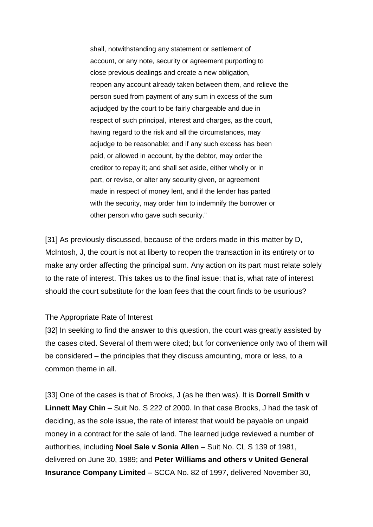shall, notwithstanding any statement or settlement of account, or any note, security or agreement purporting to close previous dealings and create a new obligation, reopen any account already taken between them, and relieve the person sued from payment of any sum in excess of the sum adjudged by the court to be fairly chargeable and due in respect of such principal, interest and charges, as the court, having regard to the risk and all the circumstances, may adjudge to be reasonable; and if any such excess has been paid, or allowed in account, by the debtor, may order the creditor to repay it; and shall set aside, either wholly or in part, or revise, or alter any security given, or agreement made in respect of money lent, and if the lender has parted with the security, may order him to indemnify the borrower or other person who gave such security."

[31] As previously discussed, because of the orders made in this matter by D, McIntosh, J, the court is not at liberty to reopen the transaction in its entirety or to make any order affecting the principal sum. Any action on its part must relate solely to the rate of interest. This takes us to the final issue: that is, what rate of interest should the court substitute for the loan fees that the court finds to be usurious?

#### The Appropriate Rate of Interest

[32] In seeking to find the answer to this question, the court was greatly assisted by the cases cited. Several of them were cited; but for convenience only two of them will be considered – the principles that they discuss amounting, more or less, to a common theme in all.

[33] One of the cases is that of Brooks, J (as he then was). It is **Dorrell Smith v Linnett May Chin** – Suit No. S 222 of 2000. In that case Brooks, J had the task of deciding, as the sole issue, the rate of interest that would be payable on unpaid money in a contract for the sale of land. The learned judge reviewed a number of authorities, including **Noel Sale v Sonia Allen** – Suit No. CL S 139 of 1981, delivered on June 30, 1989; and **Peter Williams and others v United General Insurance Company Limited** – SCCA No. 82 of 1997, delivered November 30,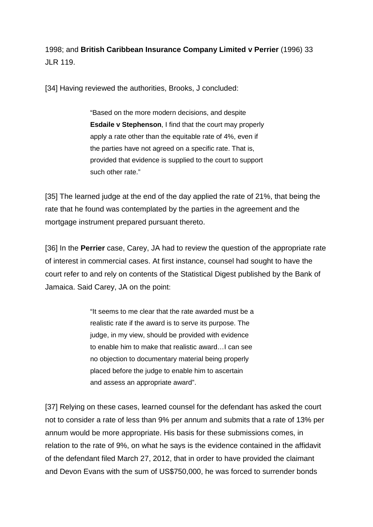1998; and **British Caribbean Insurance Company Limited v Perrier** (1996) 33 JLR 119.

[34] Having reviewed the authorities, Brooks, J concluded:

"Based on the more modern decisions, and despite **Esdaile v Stephenson**, I find that the court may properly apply a rate other than the equitable rate of 4%, even if the parties have not agreed on a specific rate. That is, provided that evidence is supplied to the court to support such other rate."

[35] The learned judge at the end of the day applied the rate of 21%, that being the rate that he found was contemplated by the parties in the agreement and the mortgage instrument prepared pursuant thereto.

[36] In the **Perrier** case, Carey, JA had to review the question of the appropriate rate of interest in commercial cases. At first instance, counsel had sought to have the court refer to and rely on contents of the Statistical Digest published by the Bank of Jamaica. Said Carey, JA on the point:

> "It seems to me clear that the rate awarded must be a realistic rate if the award is to serve its purpose. The judge, in my view, should be provided with evidence to enable him to make that realistic award…I can see no objection to documentary material being properly placed before the judge to enable him to ascertain and assess an appropriate award".

[37] Relying on these cases, learned counsel for the defendant has asked the court not to consider a rate of less than 9% per annum and submits that a rate of 13% per annum would be more appropriate. His basis for these submissions comes, in relation to the rate of 9%, on what he says is the evidence contained in the affidavit of the defendant filed March 27, 2012, that in order to have provided the claimant and Devon Evans with the sum of US\$750,000, he was forced to surrender bonds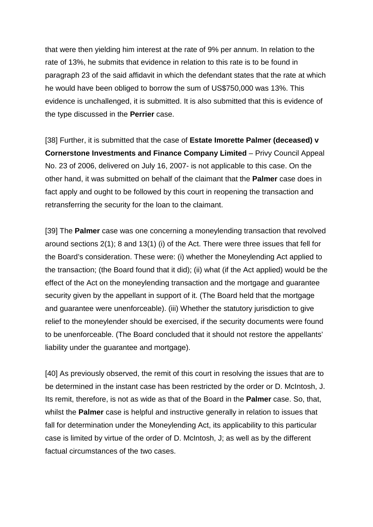that were then yielding him interest at the rate of 9% per annum. In relation to the rate of 13%, he submits that evidence in relation to this rate is to be found in paragraph 23 of the said affidavit in which the defendant states that the rate at which he would have been obliged to borrow the sum of US\$750,000 was 13%. This evidence is unchallenged, it is submitted. It is also submitted that this is evidence of the type discussed in the **Perrier** case.

[38] Further, it is submitted that the case of **Estate Imorette Palmer (deceased) v Cornerstone Investments and Finance Company Limited** – Privy Council Appeal No. 23 of 2006, delivered on July 16, 2007- is not applicable to this case. On the other hand, it was submitted on behalf of the claimant that the **Palmer** case does in fact apply and ought to be followed by this court in reopening the transaction and retransferring the security for the loan to the claimant.

[39] The **Palmer** case was one concerning a moneylending transaction that revolved around sections 2(1); 8 and 13(1) (i) of the Act. There were three issues that fell for the Board's consideration. These were: (i) whether the Moneylending Act applied to the transaction; (the Board found that it did); (ii) what (if the Act applied) would be the effect of the Act on the moneylending transaction and the mortgage and guarantee security given by the appellant in support of it. (The Board held that the mortgage and guarantee were unenforceable). (iii) Whether the statutory jurisdiction to give relief to the moneylender should be exercised, if the security documents were found to be unenforceable. (The Board concluded that it should not restore the appellants' liability under the guarantee and mortgage).

[40] As previously observed, the remit of this court in resolving the issues that are to be determined in the instant case has been restricted by the order or D. McIntosh, J. Its remit, therefore, is not as wide as that of the Board in the **Palmer** case. So, that, whilst the **Palmer** case is helpful and instructive generally in relation to issues that fall for determination under the Moneylending Act, its applicability to this particular case is limited by virtue of the order of D. McIntosh, J; as well as by the different factual circumstances of the two cases.